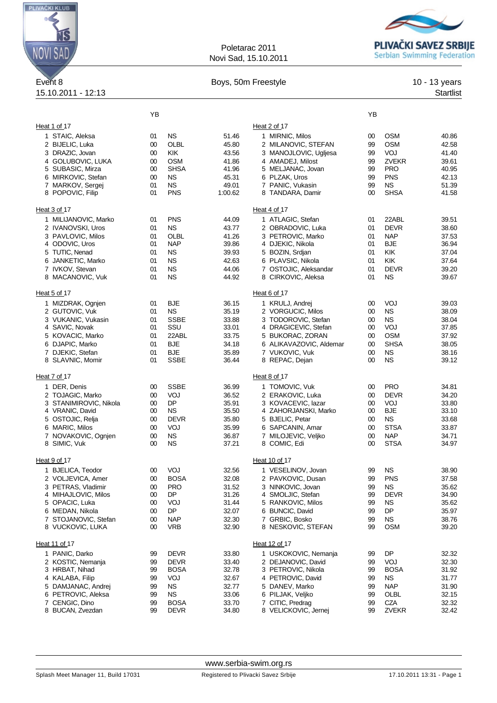

## Poletarac 2011 Novi Sad, 15.10.2011



## Event 8 **Boys, 50m Freestyle** 10 - 13 years 15.10.2011 - 12:13 Startlist

|                                           | YB       |                          |                |                                         | YB       |                          |                |
|-------------------------------------------|----------|--------------------------|----------------|-----------------------------------------|----------|--------------------------|----------------|
|                                           |          |                          |                |                                         |          |                          |                |
| Heat 1 of 17                              |          | <b>NS</b>                |                | Heat 2 of 17                            |          | <b>OSM</b>               |                |
| 1 STAIC, Aleksa<br>2 BIJELIC, Luka        | 01<br>00 | OLBL                     | 51.46<br>45.80 | 1 MIRNIC, Milos<br>2 MILANOVIC, STEFAN  | 00<br>99 | <b>OSM</b>               | 40.86<br>42.58 |
| 3 DRAZIC, Jovan                           | 00       | <b>KIK</b>               | 43.56          | 3 MANOJLOVIC, Ugljesa                   | 99       | VOJ                      | 41.40          |
| 4 GOLUBOVIC, LUKA                         | 00       | <b>OSM</b>               | 41.86          | 4 AMADEJ, Milost                        | 99       | <b>ZVEKR</b>             | 39.61          |
| 5 SUBASIC, Mirza                          | 00       | <b>SHSA</b>              | 41.96          | 5 MELJANAC, Jovan                       | 99       | <b>PRO</b>               | 40.95          |
| 6 MIRKOVIC, Stefan                        | 00       | <b>NS</b>                | 45.31          | 6 PLZAK, Uros                           | 99       | <b>PNS</b>               | 42.13          |
| 7 MARKOV, Sergej                          | 01       | <b>NS</b>                | 49.01          | 7 PANIC, Vukasin                        | 99       | ΝS                       | 51.39          |
| 8 POPOVIC, Filip                          | 01       | <b>PNS</b>               | 1:00.62        | 8 TANDARA, Damir                        | $00\,$   | <b>SHSA</b>              | 41.58          |
| Heat 3 of 17                              |          |                          |                | Heat 4 of 17                            |          |                          |                |
| 1 MILIJANOVIC, Marko                      | 01       | <b>PNS</b>               | 44.09          | 1 ATLAGIC, Stefan                       | 01       | 22ABL                    | 39.51          |
| 2 IVANOVSKI, Uros                         | 01       | <b>NS</b>                | 43.77          | 2 OBRADOVIC, Luka                       | 01       | <b>DEVR</b>              | 38.60          |
| 3 PAVLOVIC, Milos                         | 01       | <b>OLBL</b>              | 41.26          | 3 PETROVIC, Marko                       | 01       | <b>NAP</b>               | 37.53          |
| 4 ODOVIC, Uros<br>5 TUTIC, Nenad          | 01<br>01 | <b>NAP</b><br><b>NS</b>  | 39.86<br>39.93 | 4 DJEKIC, Nikola<br>5 BOZIN, Srdjan     | 01<br>01 | <b>BJE</b><br>KIK        | 36.94<br>37.04 |
| 6 JANKETIC, Marko                         | 01       | <b>NS</b>                | 42.63          | 6 PLAVSIC, Nikola                       | 01       | <b>KIK</b>               | 37.64          |
| 7 IVKOV, Stevan                           | 01       | <b>NS</b>                | 44.06          | 7 OSTOJIC, Aleksandar                   | 01       | <b>DEVR</b>              | 39.20          |
| 8 MACANOVIC, Vuk                          | 01       | <b>NS</b>                | 44.92          | 8 CIRKOVIC, Aleksa                      | 01       | <b>NS</b>                | 39.67          |
| Heat 5 of 17                              |          |                          |                | Heat 6 of 17                            |          |                          |                |
| 1 MIZDRAK, Ognjen                         | 01       | <b>BJE</b>               | 36.15          | 1 KRULJ, Andrej                         | $00\,$   | VOJ                      | 39.03          |
| 2 GUTOVIC, Vuk                            | 01       | <b>NS</b>                | 35.19          | 2 VORGUCIC, Milos                       | 00       | <b>NS</b>                | 38.09          |
| 3 VUKANIC, Vukasin                        | 01       | SSBE                     | 33.88          | 3 TODOROVIC, Stefan                     | 00       | ΝS                       | 38.04          |
| 4 SAVIC, Novak                            | 01       | SSU                      | 33.01          | 4 DRAGICEVIC, Stefan                    | 00       | VOJ                      | 37.85          |
| 5 KOVACIC, Marko                          | 01       | 22ABL                    | 33.75          | 5 BUKORAC, ZORAN                        | 00       | <b>OSM</b>               | 37.92          |
| 6 DJAPIC, Marko                           | 01       | <b>BJE</b>               | 34.18          | 6 ALIKAVAZOVIC, Aldemar                 | 00       | <b>SHSA</b>              | 38.05          |
| 7 DJEKIC, Stefan                          | 01       | <b>BJE</b>               | 35.89          | 7 VUKOVIC, Vuk                          | $00\,$   | <b>NS</b>                | 38.16          |
| 8 SLAVNIC, Momir                          | 01       | <b>SSBE</b>              | 36.44          | 8 REPAC, Dejan                          | $00\,$   | ΝS                       | 39.12          |
| Heat 7 of 17                              |          |                          |                | Heat 8 of 17                            |          |                          |                |
| 1 DER, Denis                              | 00       | <b>SSBE</b>              | 36.99          | 1 TOMOVIC, Vuk                          | 00       | <b>PRO</b>               | 34.81          |
| 2 TOJAGIC, Marko                          | 00       | VOJ                      | 36.52          | 2 ERAKOVIC, Luka                        | 00       | <b>DEVR</b>              | 34.20          |
| 3 STANIMIROVIC, Nikola                    | 00       | <b>DP</b>                | 35.91          | 3 KOVACEVIC, lazar                      | 00       | VOJ                      | 33.80          |
| 4 VRANIC, David                           | 00       | NS.                      | 35.50          | 4 ZAHORJANSKI, Marko                    | 00       | <b>BJE</b>               | 33.10          |
| 5 OSTOJIC, Relja                          | 00       | <b>DEVR</b>              | 35.80          | 5 BJELIC, Petar                         | 00       | <b>NS</b><br><b>STSA</b> | 33.68          |
| 6 MARIC, Milos<br>7 NOVAKOVIC, Ognjen     | 00<br>00 | VOJ<br><b>NS</b>         | 35.99<br>36.87 | 6 SAPCANIN, Amar<br>7 MILOJEVIC, Veljko | 00<br>00 | <b>NAP</b>               | 33.87<br>34.71 |
| 8 SIMIC, Vuk                              | 00       | <b>NS</b>                | 37.21          | 8 COMIC, Edi                            | 00       | <b>STSA</b>              | 34.97          |
|                                           |          |                          |                |                                         |          |                          |                |
| Heat 9 of 17                              |          |                          |                | Heat 10 of 17                           |          |                          |                |
| 1 BJELICA, Teodor                         | 00       | VOJ                      | 32.56          | 1 VESELINOV, Jovan                      | 99       | ΝS                       | 38.90          |
| 2 VOLJEVICA, Amer                         | 00       | <b>BOSA</b>              | 32.08          | 2 PAVKOVIC, Dusan                       | 99       | <b>PNS</b>               | 37.58          |
| 3 PETRAS, Vladimir<br>4 MIHAJLOVIC, Milos | 00<br>00 | <b>PRO</b><br>DP         | 31.52<br>31.26 | 3 NINKOVIC, Jovan<br>4 SMOLJIC, Stefan  | 99<br>99 | <b>NS</b><br>DEVR        | 35.62<br>34.90 |
| 5 OPACIC, Luka                            | 00       | VOJ                      | 31.44          | 5 RANKOVIC, Milos                       | 99       | ΝS                       | 35.62          |
| 6 MEDAN, Nikola                           | 00       | DP                       | 32.07          | 6 BUNCIC, David                         | 99       | DP                       | 35.97          |
| 7 STOJANOVIC, Stefan                      | 00       | <b>NAP</b>               | 32.30          | 7 GRBIC, Bosko                          | 99       | ΝS                       | 38.76          |
| 8 VUCKOVIC, LUKA                          | 00       | VRB                      | 32.90          | 8 NESKOVIC, STEFAN                      | 99       | <b>OSM</b>               | 39.20          |
| Heat 11 of 17                             |          |                          |                | Heat 12 of 17                           |          |                          |                |
| 1 PANIC, Darko                            | 99       | <b>DEVR</b>              | 33.80          | 1 USKOKOVIC, Nemanja                    | 99       | DP                       | 32.32          |
| 2 KOSTIC, Nemanja                         | 99       | <b>DEVR</b>              | 33.40          | 2 DEJANOVIC, David                      | 99       | VOJ                      | 32.30          |
| 3 HRBAT, Nihad                            | 99       | <b>BOSA</b>              | 32.78          | 3 PETROVIC, Nikola                      | 99       | <b>BOSA</b>              | 31.92          |
| 4 KALABA, Filip                           | 99       | VOJ                      | 32.67          | 4 PETROVIC, David                       | 99       | <b>NS</b>                | 31.77          |
| 5 DAMJANAC, Andrei                        | 99       | <b>NS</b>                | 32.77          | 5 DANEV, Marko                          | 99       | <b>NAP</b>               | 31.90          |
| 6 PETROVIC, Aleksa<br>7 CENGIC, Dino      | 99       | <b>NS</b><br><b>BOSA</b> | 33.06          | 6 PILJAK, Veljko<br>7 CITIC, Predrag    | 99       | OLBL<br><b>CZA</b>       | 32.15          |
| 8 BUCAN, Zvezdan                          | 99<br>99 | DEVR                     | 33.70<br>34.80 | 8 VELICKOVIC, Jernej                    | 99<br>99 | ZVEKR                    | 32.32<br>32.42 |
|                                           |          |                          |                |                                         |          |                          |                |